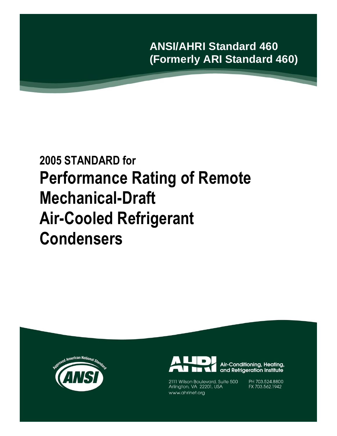**ANSI/AHRI Standard 460 (Formerly ARI Standard 460)**

# **2005 STANDARD for Performance Rating of Remote Mechanical-Draft Air-Cooled Refrigerant Condensers**





2111 Wilson Boulevard, Suite 500 Arlington, VA 22201, USA www.ahrinet.org

PH 703.524.8800 FX 703.562.1942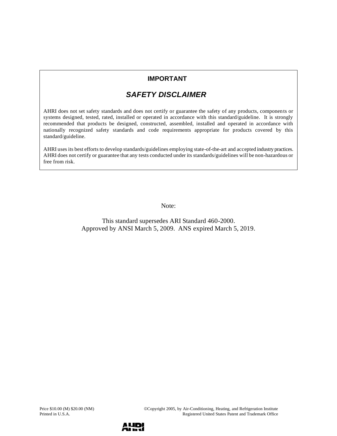### **IMPORTANT**

# *SAFETY DISCLAIMER*

AHRI does not set safety standards and does not certify or guarantee the safety of any products, components or systems designed, tested, rated, installed or operated in accordance with this standard/guideline. It is strongly recommended that products be designed, constructed, assembled, installed and operated in accordance with nationally recognized safety standards and code requirements appropriate for products covered by this standard/guideline.

AHRI uses its best efforts to develop standards/guidelines employing state-of-the-art and accepted industry practices. AHRI does not certify or guarantee that any tests conducted under its standards/guidelines will be non-hazardous or free from risk.

Note:

This standard supersedes ARI Standard 460-2000. Approved by ANSI March 5, 2009. ANS expired March 5, 2019.

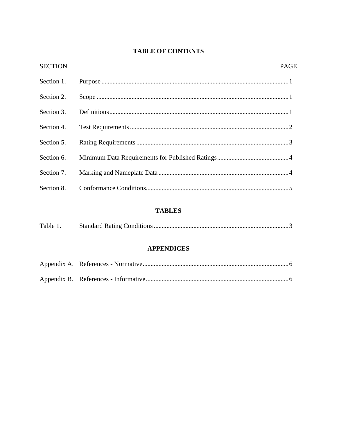### **TABLE OF CONTENTS**

| <b>SECTION</b> | PAGI |
|----------------|------|
| Section 1.     |      |
| Section 2.     |      |
| Section 3.     |      |
| Section 4.     |      |
| Section 5.     |      |
|                |      |
|                |      |
|                |      |

## **TABLES**

| Table 1. |
|----------|
|----------|

### **APPENDICES**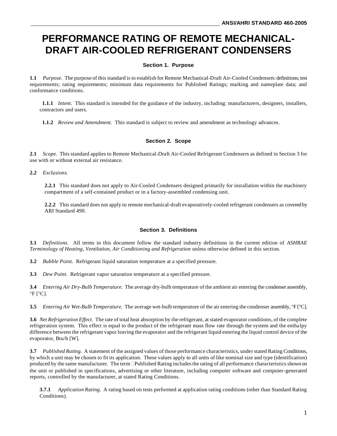# **PERFORMANCE RATING OF REMOTE MECHANICAL-DRAFT AIR-COOLED REFRIGERANT CONDENSERS**

#### **Section 1. Purpose**

**1.1** *Purpose.* The purpose of this standard is to establish for Remote Mechanical-Draft Air-Cooled Condensers: definitions; test requirements; rating requirements; minimum data requirements for Published Ratings; marking and nameplate data; and conformance conditions.

**1.1.1** *Intent.* This standard is intended for the guidance of the industry, including: manufacturers, designers, installers, contractors and users.

**1.1.2** *Review and Amendment.* This standard is subject to review and amendment as technology advances.

#### **Section 2. Scope**

**2.1** *Scope.* This standard applies to Remote Mechanical-Draft Air-Cooled Refrigerant Condensers as defined in Section 3 for use with or without external air resistance.

**2.2** *Exclusions.*

**2.2.1** This standard does not apply to Air-Cooled Condensers designed primarily for installation within the machinery compartment of a self-contained product or in a factory-assembled condensing unit.

**2.2.2** This standard does not apply to remote mechanical-draft evaporatively-cooled refrigerant condensers as covered by ARI Standard 490.

#### **Section 3. Definitions**

**3.1** *Definitions*. All terms in this document follow the standard industry definitions in the current edition of *ASHRAE Terminology of Heating, Ventilation, Air Conditioning and Refrigeration* unless otherwise defined in this section.

**3.2** *Bubble Point.* Refrigerant liquid saturation temperature at a specified pressure.

**3.3** *Dew Point.* Refrigerant vapor saturation temperature at a specified pressure.

**3.4** *Entering Air Dry-Bulb Temperature.* The average dry-bulb temperature of the ambient air entering the condenser assembly,  $\mathrm{P}F$   $\mathrm{C}$ ].

**3.5** *Entering Air Wet-Bulb Temperature.* The average wet-bulb temperature of the air entering the condenser assembly,  $\mathbb{F}[\mathbb{C}C]$ .

**3.6** *Net Refrigeration Effect.* The rate of total heat absorption by the refrigerant, at stated evaporator conditions, of the complete refrigeration system. This effect is equal to the product of the refrigerant mass flow rate through the system and the entha lpy difference between the refrigerant vapor leaving the evaporator and the refrigerant liquid entering the liquid control device of the evaporator, Btu/h [W].

**3.7** *Published Rating.* A statement of the assigned values of those performance characteristics, understated Rating Conditions, by which a unit may be chosen to fit its application. These values apply to all units of like nominal size and type (identification) produced by the same manufacturer. The term Published Rating includes the rating of all performance characteristics shown on the unit or published in specifications, advertising or other literature, including computer software and computer-generated reports, controlled by the manufacturer, at stated Rating Conditions.

**3.7.1** *Application Rating.* A rating based on tests performed at application rating conditions (other than Standard Rating Conditions).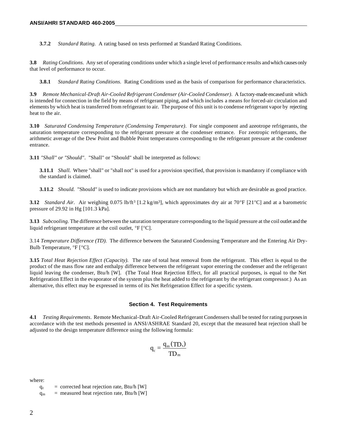**3.7.2** *Standard Rating.* A rating based on tests performed at Standard Rating Conditions.

**3.8** *Rating Conditions.* Any set of operating conditions under which a single level of performance results and which causes only that level of performance to occur.

**3.8.1** *Standard Rating Conditions.* Rating Conditions used as the basis of comparison for performance characteristics.

**3.9** *Remote Mechanical-Draft Air-Cooled Refrigerant Condenser (Air-Cooled Condenser).* A factory-made encased unit which is intended for connection in the field by means of refrigerant piping, and which includes a means for forced-air circulation and elements by which heat is transferred from refrigerant to air. The purpose of this unit is to condense refrigerant vapor by rejecting heat to the air.

**3.10** *Saturated Condensing Temperature (Condensing Temperature)*. For single component and azeotrope refrigerants, the saturation temperature corresponding to the refrigerant pressure at the condenser entrance. For zeotropic refrigerants, the arithmetic average of the Dew Point and Bubble Point temperatures corresponding to the refrigerant pressure at the condenser entrance.

**3.11** *"Shall" or "Should"*. "Shall" or "Should" shall be interpreted as follows:

**3.11.1** *Shall.* Where "shall" or "shall not" is used for a provision specified, that provision is mandatory if compliance with the standard is claimed.

**3.11.2** *Should.* "Should" is used to indicate provisions which are not mandatory but which are desirable as good practice.

**3.12** *Standard Air.* Air weighing 0.075 lb/ft<sup>3</sup> [1.2 kg/m<sup>3</sup>], which approximates dry air at 70°F [21°C] and at a barometric pressure of 29.92 in Hg [101.3 kPa].

**3.13** *Subcooling.* The difference between the saturation temperature corresponding to the liquid pressure at the coil outlet and the liquid refrigerant temperature at the coil outlet,  $\degree$ F  $\degree$ C.

3.14 *Temperature Difference (TD).* The difference between the Saturated Condensing Temperature and the Entering Air Dry-Bulb Temperature,  $\degree$ F  $\degree$ C].

**3.15** *Total Heat Rejection Effect (Capacity).* The rate of total heat removal from the refrigerant. This effect is equal to the product of the mass flow rate and enthalpy difference between the refrigerant vapor entering the condenser and the refrigerant liquid leaving the condenser, Btu/h [W]. (The Total Heat Rejection Effect, for all practical purposes, is equal to the Net Refrigeration Effect in the evaporator of the system plus the heat added to the refrigerant by the refrigerant compressor.) As an alternative, this effect may be expressed in terms of its Net Refrigeration Effect for a specific system.

#### **Section 4. Test Requirements**

**4.1** *Testing Requirements*. Remote Mechanical-Draft Air-Cooled Refrigerant Condensers shall be tested for rating purposes in accordance with the test methods presented in ANSI/ASHRAE Standard 20, except that the measured heat rejection shall be adjusted to the design temperature difference using the following formula:

$$
q_c = \frac{q_m(TD_s)}{TD_m}
$$

where:

 $q_c$  = corrected heat rejection rate, Btu/h [W]  $q_m$  = measured heat rejection rate, Btu/h [W]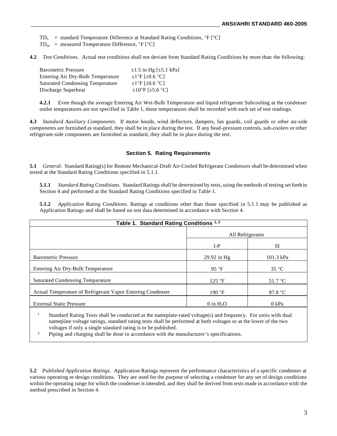$TD_s$  = standard Temperature Difference at Standard Rating Conditions,  ${}^{\circ}F$   ${}^{\circ}C$ ]

 $TD_m$  = measured Temperature Difference,  ${}^{\circ}F$   $[{}^{\circ}C]$ 

**4.2** *Test Conditions.* Actual test conditions shall not deviate from Standard Rating Conditions by more than the following:

| <b>Barometric Pressure</b>              | $\pm 1.5$ in Hg [ $\pm 5.1$ kPa]          |
|-----------------------------------------|-------------------------------------------|
| Entering Air Dry-Bulb Temperature       | $\pm$ 1°F [ $\pm$ 0.6 °C]                 |
| <b>Saturated Condensing Temperature</b> | $\pm$ 1°F [ $\pm$ 0.6 °C]                 |
| Discharge Superheat                     | $\pm 10^{\circ}$ F [ $\pm 5.6^{\circ}$ C] |

**4.2.1** Even though the average Entering Air Wet-Bulb Temperature and liquid refrigerant Subcooling at the condenser outlet temperatures are not specified in Table 1, these temperatures shall be recorded with each set of test readings.

**4.3** *Standard Auxiliary Components.* If motor hoods, wind deflectors, dampers, fan guards, coil guards or other air-side components are furnished as standard, they shall be in place during the test. If any head-pressure controls, sub-coolers or other refrigerant-side components are furnished as standard, they shall be in place during the test.

#### **Section 5. Rating Requirements**

**5.1** *General.* Standard Rating(s) for Remote Mechanical-Draft Air-Cooled Refrigerant Condensers shall be determined when tested at the Standard Rating Conditions specified in 5.1.1.

**5.1.1** *Standard Rating Conditions.* Standard Ratings shall be determined by tests, using the methods of testing set forth in Section 4 and performed at the Standard Rating Conditions specified in Table 1.

**5.1.2** *Application Rating Conditions*. Ratings at conditions other than those specified in 5.1.1 may be published as Application Ratings and shall be based on test data determined in accordance with Section 4.

| Table 1. Standard Rating Conditions 1,2                    |                         |                   |  |  |
|------------------------------------------------------------|-------------------------|-------------------|--|--|
|                                                            | All Refrigerants        |                   |  |  |
|                                                            | $I-P$                   | <b>SI</b>         |  |  |
| <b>Barometric Pressure</b>                                 | $29.92$ in Hg           | 101.3 kPa         |  |  |
| Entering Air Dry-Bulb Temperature                          | 95 $\degree$ F          | $35^{\circ}$ C    |  |  |
| <b>Saturated Condensing Temperature</b>                    | $125 \text{ }^{\circ}F$ | $51.7 \text{ °C}$ |  |  |
| Actual Temperature of Refrigerant Vapor Entering Condenser | 190 °F                  | 87.8 $\degree$ C  |  |  |
| <b>External Static Pressure</b>                            | $0$ in $H_2O$           | 0 kPa             |  |  |

<sup>1</sup> Standard Rating Tests shall be conducted at the nameplate-rated voltage(s) and frequency. For units with dual nameplate voltage ratings, standard rating tests shall be performed at both voltages or at the lower of the two voltages if only a single standard rating is to be published.

<sup>2</sup> Piping and charging shall be done in accordance with the manufacturer's specifications.

**5.2** *Published Application Ratings.* Application Ratings represent the performance characteristics of a specific condenser at various operating or design conditions. They are used for the purpose of selecting a condenser for any set of design conditions within the operating range for which the condenser is intended, and they shall be derived from tests made in accordance with the method prescribed in Section 4.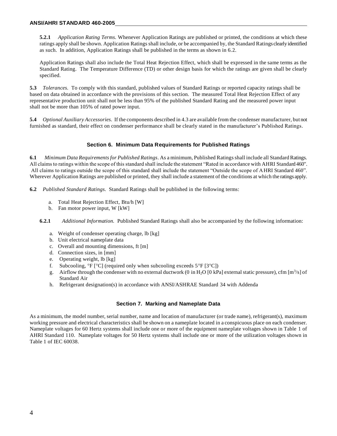**5.2.1** *Application Rating Terms.* Whenever Application Ratings are published or printed, the conditions at which these ratings apply shall be shown. Application Ratings shall include, or be accompanied by, the Standard Ratings clearly identified as such. In addition, Application Ratings shall be published in the terms as shown in 6.2.

Application Ratings shall also include the Total Heat Rejection Effect, which shall be expressed in the same terms as the Standard Rating. The Temperature Difference (TD) or other design basis for which the ratings are given shall be clearly specified.

**5.3** *Tolerances.* To comply with this standard, published values of Standard Ratings or reported capacity ratings shall be based on data obtained in accordance with the provisions of this section. The measured Total Heat Rejection Effect of any representative production unit shall not be less than 95% of the published Standard Rating and the measured power input shall not be more than 105% of rated power input.

**5.4** *Optional Auxiliary Accessories.* If the components described in 4.3 are available from the condenser manufacturer, but not furnished as standard, their effect on condenser performance shall be clearly stated in the manufacturer's Published Ratings.

#### **Section 6. Minimum Data Requirements for Published Ratings**

**6.1** *Minimum Data Requirements for Published Ratings*. As a minimum, Published Ratings shall include all Standard Ratings. All claims to ratings within the scope of this standard shall include the statement "Rated in accordance with AHRI Standard 460". All claims to ratings outside the scope of this standard shall include the statement "Outside the scope of AHRI Standard 460". Wherever Application Ratings are published or printed, they shall include a statement of the conditions at which the ratings apply.

**6.2** *Published Standard Ratings.* Standard Ratings shall be published in the following terms:

- a. Total Heat Rejection Effect, Btu/h [W]
- b. Fan motor power input, W [kW]

**6.2.1** *Additional Information.* Published Standard Ratings shall also be accompanied by the following information:

- a. Weight of condenser operating charge, lb [kg]
- b. Unit electrical nameplate data
- c. Overall and mounting dimensions, ft [m]
- d. Connection sizes, in [mm]
- e. Operating weight, lb [kg]
- f. Subcooling,  ${}^{\circ}F$  [ ${}^{\circ}C$ ] (required only when subcooling exceeds  $5{}^{\circ}F$  [ $3{}^{\circ}C$ ])
- g. Airflow through the condenser with no external ductwork (0 in H<sub>2</sub>O [0 kPa] external static pressure), cfm [m<sup>3</sup>/s] of Standard Air
- h. Refrigerant designation(s) in accordance with ANSI/ASHRAE Standard 34 with Addenda

#### **Section 7. Marking and Nameplate Data**

As a minimum, the model number, serial number, name and location of manufacturer (or trade name), refrigerant(s), maximum working pressure and electrical characteristics shall be shown on a nameplate located in a conspicuous place on each condenser. Nameplate voltages for 60 Hertz systems shall include one or more of the equipment nameplate voltages shown in Table 1 of AHRI Standard 110. Nameplate voltages for 50 Hertz systems shall include one or more of the utilization voltages shown in Table 1 of IEC 60038.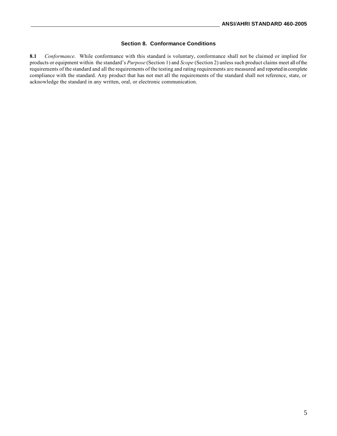#### **Section 8. Conformance Conditions**

**8.1** *Conformance.* While conformance with this standard is voluntary, conformance shall not be claimed or implied for products or equipment within the standard's *Purpose* (Section 1) and *Scope* (Section 2) unless such product claims meet all of the requirements of the standard and all the requirements of the testing and rating requirements are measured and reported in complete compliance with the standard. Any product that has not met all the requirements of the standard shall not reference, state, or acknowledge the standard in any written, oral, or electronic communication.